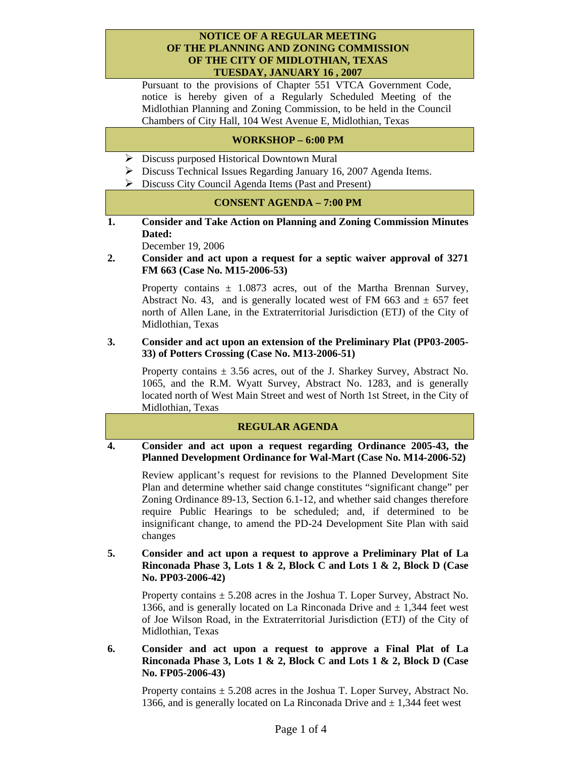#### **NOTICE OF A REGULAR MEETING OF THE PLANNING AND ZONING COMMISSION OF THE CITY OF MIDLOTHIAN, TEXAS TUESDAY, JANUARY 16 , 2007**

Pursuant to the provisions of Chapter 551 VTCA Government Code, notice is hereby given of a Regularly Scheduled Meeting of the Midlothian Planning and Zoning Commission, to be held in the Council Chambers of City Hall, 104 West Avenue E, Midlothian, Texas

# **WORKSHOP – 6:00 PM**

- $\triangleright$  Discuss purposed Historical Downtown Mural
- $\triangleright$  Discuss Technical Issues Regarding January 16, 2007 Agenda Items.
- ¾ Discuss City Council Agenda Items (Past and Present)

## **CONSENT AGENDA – 7:00 PM**

**1. Consider and Take Action on Planning and Zoning Commission Minutes Dated:** 

December 19, 2006

**2. Consider and act upon a request for a septic waiver approval of 3271 FM 663 (Case No. M15-2006-53)** 

Property contains  $\pm$  1.0873 acres, out of the Martha Brennan Survey, Abstract No. 43, and is generally located west of FM 663 and  $\pm$  657 feet north of Allen Lane, in the Extraterritorial Jurisdiction (ETJ) of the City of Midlothian, Texas

#### **3. Consider and act upon an extension of the Preliminary Plat (PP03-2005- 33) of Potters Crossing (Case No. M13-2006-51)**

Property contains  $\pm$  3.56 acres, out of the J. Sharkey Survey, Abstract No. 1065, and the R.M. Wyatt Survey, Abstract No. 1283, and is generally located north of West Main Street and west of North 1st Street, in the City of Midlothian, Texas

## **REGULAR AGENDA**

### **4. Consider and act upon a request regarding Ordinance 2005-43, the Planned Development Ordinance for Wal-Mart (Case No. M14-2006-52)**

Review applicant's request for revisions to the Planned Development Site Plan and determine whether said change constitutes "significant change" per Zoning Ordinance 89-13, Section 6.1-12, and whether said changes therefore require Public Hearings to be scheduled; and, if determined to be insignificant change, to amend the PD-24 Development Site Plan with said changes

#### **5. Consider and act upon a request to approve a Preliminary Plat of La Rinconada Phase 3, Lots 1 & 2, Block C and Lots 1 & 2, Block D (Case No. PP03-2006-42)**

Property contains  $\pm$  5.208 acres in the Joshua T. Loper Survey, Abstract No. 1366, and is generally located on La Rinconada Drive and  $\pm$  1,344 feet west of Joe Wilson Road, in the Extraterritorial Jurisdiction (ETJ) of the City of Midlothian, Texas

**6. Consider and act upon a request to approve a Final Plat of La Rinconada Phase 3, Lots 1 & 2, Block C and Lots 1 & 2, Block D (Case No. FP05-2006-43)** 

Property contains  $\pm$  5.208 acres in the Joshua T. Loper Survey, Abstract No. 1366, and is generally located on La Rinconada Drive and  $\pm$  1,344 feet west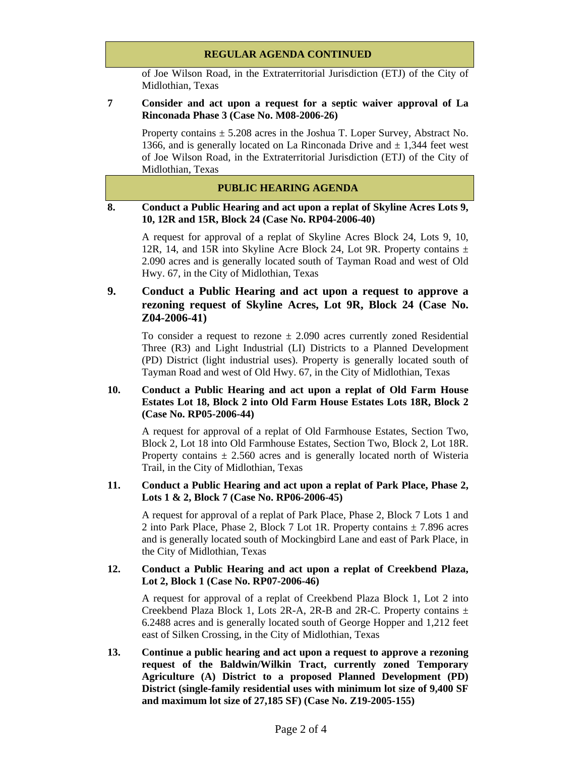## **REGULAR AGENDA CONTINUED**

of Joe Wilson Road, in the Extraterritorial Jurisdiction (ETJ) of the City of Midlothian, Texas

### **7 Consider and act upon a request for a septic waiver approval of La Rinconada Phase 3 (Case No. M08-2006-26)**

Property contains  $\pm$  5.208 acres in the Joshua T. Loper Survey, Abstract No. 1366, and is generally located on La Rinconada Drive and  $\pm$  1,344 feet west of Joe Wilson Road, in the Extraterritorial Jurisdiction (ETJ) of the City of Midlothian, Texas

# **PUBLIC HEARING AGENDA**

### **8. Conduct a Public Hearing and act upon a replat of Skyline Acres Lots 9, 10, 12R and 15R, Block 24 (Case No. RP04-2006-40)**

A request for approval of a replat of Skyline Acres Block 24, Lots 9, 10, 12R, 14, and 15R into Skyline Acre Block 24, Lot 9R. Property contains  $\pm$ 2.090 acres and is generally located south of Tayman Road and west of Old Hwy. 67, in the City of Midlothian, Texas

# **9. Conduct a Public Hearing and act upon a request to approve a rezoning request of Skyline Acres, Lot 9R, Block 24 (Case No. Z04-2006-41)**

To consider a request to rezone  $\pm$  2.090 acres currently zoned Residential Three (R3) and Light Industrial (LI) Districts to a Planned Development (PD) District (light industrial uses). Property is generally located south of Tayman Road and west of Old Hwy. 67, in the City of Midlothian, Texas

## **10. Conduct a Public Hearing and act upon a replat of Old Farm House Estates Lot 18, Block 2 into Old Farm House Estates Lots 18R, Block 2 (Case No. RP05-2006-44)**

A request for approval of a replat of Old Farmhouse Estates, Section Two, Block 2, Lot 18 into Old Farmhouse Estates, Section Two, Block 2, Lot 18R. Property contains  $\pm$  2.560 acres and is generally located north of Wisteria Trail, in the City of Midlothian, Texas

## **11. Conduct a Public Hearing and act upon a replat of Park Place, Phase 2, Lots 1 & 2, Block 7 (Case No. RP06-2006-45)**

A request for approval of a replat of Park Place, Phase 2, Block 7 Lots 1 and 2 into Park Place, Phase 2, Block 7 Lot 1R. Property contains  $\pm$  7.896 acres and is generally located south of Mockingbird Lane and east of Park Place, in the City of Midlothian, Texas

#### **12. Conduct a Public Hearing and act upon a replat of Creekbend Plaza, Lot 2, Block 1 (Case No. RP07-2006-46)**

A request for approval of a replat of Creekbend Plaza Block 1, Lot 2 into Creekbend Plaza Block 1, Lots 2R-A, 2R-B and 2R-C. Property contains  $\pm$ 6.2488 acres and is generally located south of George Hopper and 1,212 feet east of Silken Crossing, in the City of Midlothian, Texas

**13. Continue a public hearing and act upon a request to approve a rezoning request of the Baldwin/Wilkin Tract, currently zoned Temporary Agriculture (A) District to a proposed Planned Development (PD) District (single-family residential uses with minimum lot size of 9,400 SF and maximum lot size of 27,185 SF) (Case No. Z19-2005-155)**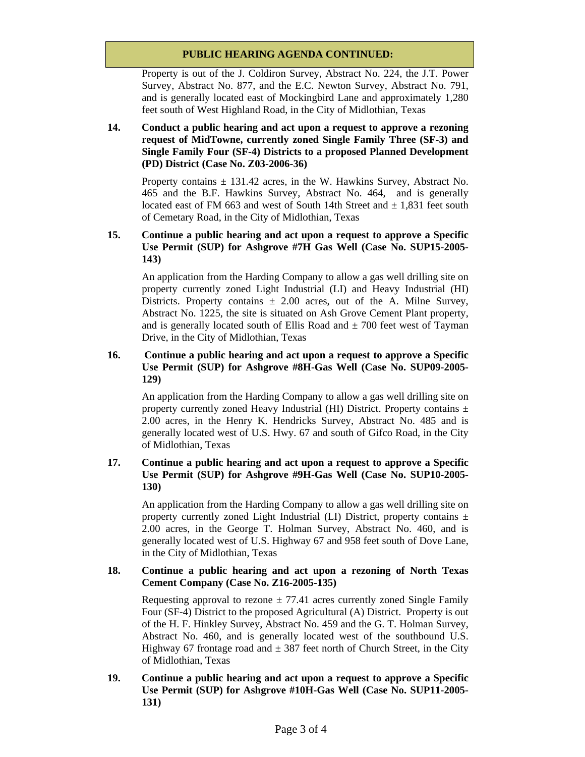## **PUBLIC HEARING AGENDA CONTINUED:**

Property is out of the J. Coldiron Survey, Abstract No. 224, the J.T. Power Survey, Abstract No. 877, and the E.C. Newton Survey, Abstract No. 791, and is generally located east of Mockingbird Lane and approximately 1,280 feet south of West Highland Road, in the City of Midlothian, Texas

## **14. Conduct a public hearing and act upon a request to approve a rezoning request of MidTowne, currently zoned Single Family Three (SF-3) and Single Family Four (SF-4) Districts to a proposed Planned Development (PD) District (Case No. Z03-2006-36)**

Property contains  $\pm$  131.42 acres, in the W. Hawkins Survey, Abstract No. 465 and the B.F. Hawkins Survey, Abstract No. 464, and is generally located east of FM 663 and west of South 14th Street and  $\pm$  1,831 feet south of Cemetary Road, in the City of Midlothian, Texas

# **15. Continue a public hearing and act upon a request to approve a Specific Use Permit (SUP) for Ashgrove #7H Gas Well (Case No. SUP15-2005- 143)**

An application from the Harding Company to allow a gas well drilling site on property currently zoned Light Industrial (LI) and Heavy Industrial (HI) Districts. Property contains  $\pm 2.00$  acres, out of the A. Milne Survey, Abstract No. 1225, the site is situated on Ash Grove Cement Plant property, and is generally located south of Ellis Road and  $\pm$  700 feet west of Tayman Drive, in the City of Midlothian, Texas

## **16. Continue a public hearing and act upon a request to approve a Specific Use Permit (SUP) for Ashgrove #8H-Gas Well (Case No. SUP09-2005- 129)**

An application from the Harding Company to allow a gas well drilling site on property currently zoned Heavy Industrial (HI) District. Property contains  $\pm$ 2.00 acres, in the Henry K. Hendricks Survey, Abstract No. 485 and is generally located west of U.S. Hwy. 67 and south of Gifco Road, in the City of Midlothian, Texas

## **17. Continue a public hearing and act upon a request to approve a Specific Use Permit (SUP) for Ashgrove #9H-Gas Well (Case No. SUP10-2005- 130)**

An application from the Harding Company to allow a gas well drilling site on property currently zoned Light Industrial (LI) District, property contains  $\pm$ 2.00 acres, in the George T. Holman Survey, Abstract No. 460, and is generally located west of U.S. Highway 67 and 958 feet south of Dove Lane, in the City of Midlothian, Texas

#### **18. Continue a public hearing and act upon a rezoning of North Texas Cement Company (Case No. Z16-2005-135)**

Requesting approval to rezone  $\pm$  77.41 acres currently zoned Single Family Four (SF-4) District to the proposed Agricultural (A) District. Property is out of the H. F. Hinkley Survey, Abstract No. 459 and the G. T. Holman Survey, Abstract No. 460, and is generally located west of the southbound U.S. Highway 67 frontage road and  $\pm$  387 feet north of Church Street, in the City of Midlothian, Texas

**19. Continue a public hearing and act upon a request to approve a Specific Use Permit (SUP) for Ashgrove #10H-Gas Well (Case No. SUP11-2005- 131)**